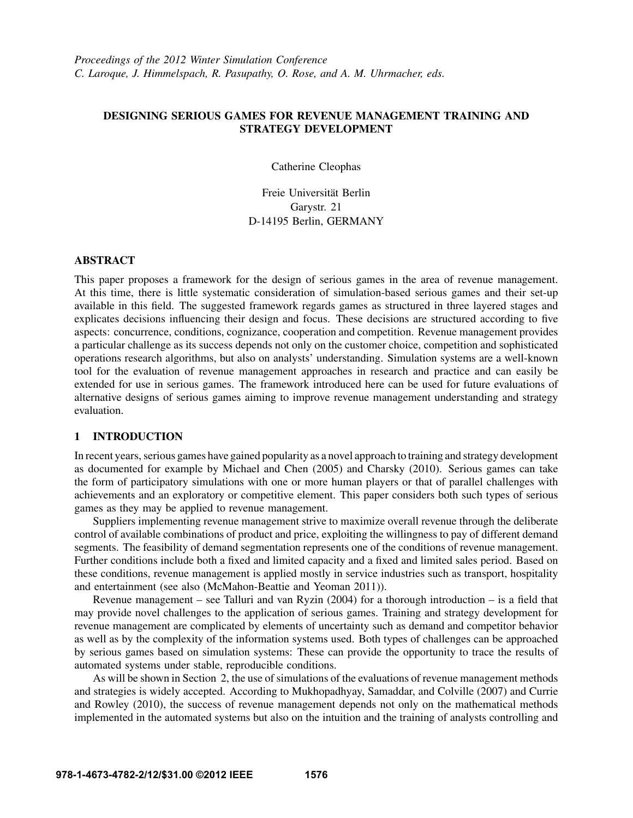# DESIGNING SERIOUS GAMES FOR REVENUE MANAGEMENT TRAINING AND STRATEGY DEVELOPMENT

Catherine Cleophas

Freie Universität Berlin Garystr. 21 D-14195 Berlin, GERMANY

# ABSTRACT

This paper proposes a framework for the design of serious games in the area of revenue management. At this time, there is little systematic consideration of simulation-based serious games and their set-up available in this field. The suggested framework regards games as structured in three layered stages and explicates decisions influencing their design and focus. These decisions are structured according to five aspects: concurrence, conditions, cognizance, cooperation and competition. Revenue management provides a particular challenge as its success depends not only on the customer choice, competition and sophisticated operations research algorithms, but also on analysts' understanding. Simulation systems are a well-known tool for the evaluation of revenue management approaches in research and practice and can easily be extended for use in serious games. The framework introduced here can be used for future evaluations of alternative designs of serious games aiming to improve revenue management understanding and strategy evaluation.

#### 1 INTRODUCTION

In recent years, serious games have gained popularity as a novel approach to training and strategy development as documented for example by Michael and Chen (2005) and Charsky (2010). Serious games can take the form of participatory simulations with one or more human players or that of parallel challenges with achievements and an exploratory or competitive element. This paper considers both such types of serious games as they may be applied to revenue management.

Suppliers implementing revenue management strive to maximize overall revenue through the deliberate control of available combinations of product and price, exploiting the willingness to pay of different demand segments. The feasibility of demand segmentation represents one of the conditions of revenue management. Further conditions include both a fixed and limited capacity and a fixed and limited sales period. Based on these conditions, revenue management is applied mostly in service industries such as transport, hospitality and entertainment (see also (McMahon-Beattie and Yeoman 2011)).

Revenue management – see Talluri and van Ryzin (2004) for a thorough introduction – is a field that may provide novel challenges to the application of serious games. Training and strategy development for revenue management are complicated by elements of uncertainty such as demand and competitor behavior as well as by the complexity of the information systems used. Both types of challenges can be approached by serious games based on simulation systems: These can provide the opportunity to trace the results of automated systems under stable, reproducible conditions.

As will be shown in Section 2, the use of simulations of the evaluations of revenue management methods and strategies is widely accepted. According to Mukhopadhyay, Samaddar, and Colville (2007) and Currie and Rowley (2010), the success of revenue management depends not only on the mathematical methods implemented in the automated systems but also on the intuition and the training of analysts controlling and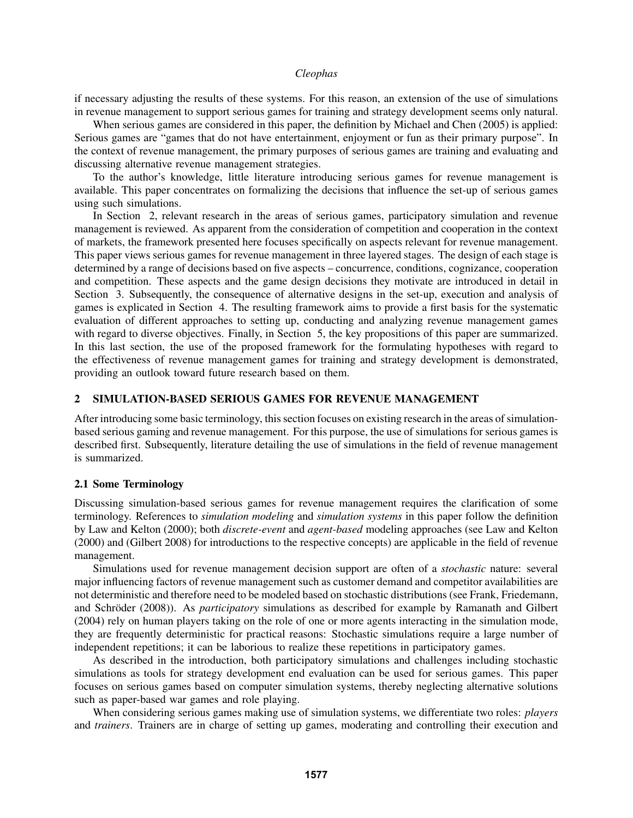if necessary adjusting the results of these systems. For this reason, an extension of the use of simulations in revenue management to support serious games for training and strategy development seems only natural.

When serious games are considered in this paper, the definition by Michael and Chen (2005) is applied: Serious games are "games that do not have entertainment, enjoyment or fun as their primary purpose". In the context of revenue management, the primary purposes of serious games are training and evaluating and discussing alternative revenue management strategies.

To the author's knowledge, little literature introducing serious games for revenue management is available. This paper concentrates on formalizing the decisions that influence the set-up of serious games using such simulations.

In Section 2, relevant research in the areas of serious games, participatory simulation and revenue management is reviewed. As apparent from the consideration of competition and cooperation in the context of markets, the framework presented here focuses specifically on aspects relevant for revenue management. This paper views serious games for revenue management in three layered stages. The design of each stage is determined by a range of decisions based on five aspects – concurrence, conditions, cognizance, cooperation and competition. These aspects and the game design decisions they motivate are introduced in detail in Section 3. Subsequently, the consequence of alternative designs in the set-up, execution and analysis of games is explicated in Section 4. The resulting framework aims to provide a first basis for the systematic evaluation of different approaches to setting up, conducting and analyzing revenue management games with regard to diverse objectives. Finally, in Section 5, the key propositions of this paper are summarized. In this last section, the use of the proposed framework for the formulating hypotheses with regard to the effectiveness of revenue management games for training and strategy development is demonstrated, providing an outlook toward future research based on them.

# 2 SIMULATION-BASED SERIOUS GAMES FOR REVENUE MANAGEMENT

After introducing some basic terminology, this section focuses on existing research in the areas of simulationbased serious gaming and revenue management. For this purpose, the use of simulations for serious games is described first. Subsequently, literature detailing the use of simulations in the field of revenue management is summarized.

#### 2.1 Some Terminology

Discussing simulation-based serious games for revenue management requires the clarification of some terminology. References to *simulation modeling* and *simulation systems* in this paper follow the definition by Law and Kelton (2000); both *discrete-event* and *agent-based* modeling approaches (see Law and Kelton (2000) and (Gilbert 2008) for introductions to the respective concepts) are applicable in the field of revenue management.

Simulations used for revenue management decision support are often of a *stochastic* nature: several major influencing factors of revenue management such as customer demand and competitor availabilities are not deterministic and therefore need to be modeled based on stochastic distributions (see Frank, Friedemann, and Schröder (2008)). As *participatory* simulations as described for example by Ramanath and Gilbert (2004) rely on human players taking on the role of one or more agents interacting in the simulation mode, they are frequently deterministic for practical reasons: Stochastic simulations require a large number of independent repetitions; it can be laborious to realize these repetitions in participatory games.

As described in the introduction, both participatory simulations and challenges including stochastic simulations as tools for strategy development end evaluation can be used for serious games. This paper focuses on serious games based on computer simulation systems, thereby neglecting alternative solutions such as paper-based war games and role playing.

When considering serious games making use of simulation systems, we differentiate two roles: *players* and *trainers*. Trainers are in charge of setting up games, moderating and controlling their execution and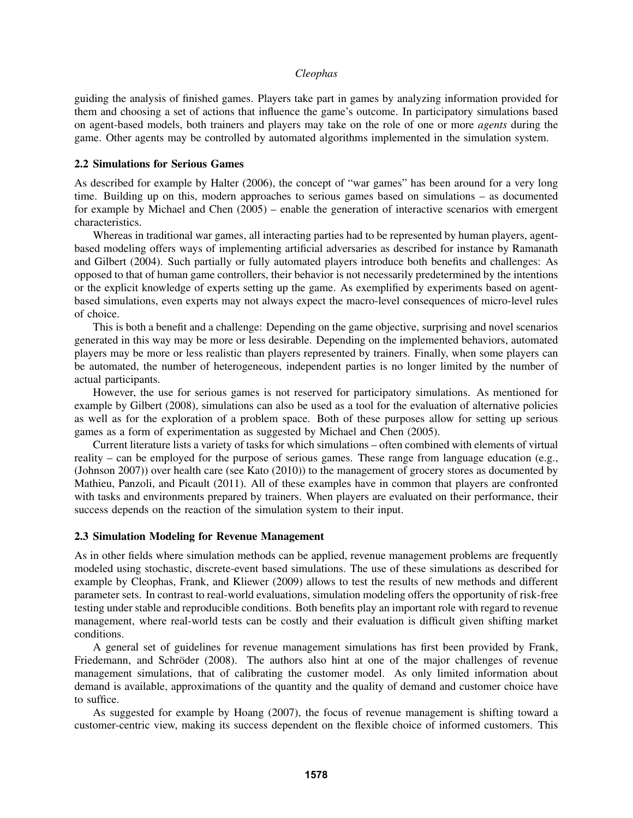guiding the analysis of finished games. Players take part in games by analyzing information provided for them and choosing a set of actions that influence the game's outcome. In participatory simulations based on agent-based models, both trainers and players may take on the role of one or more *agents* during the game. Other agents may be controlled by automated algorithms implemented in the simulation system.

#### 2.2 Simulations for Serious Games

As described for example by Halter (2006), the concept of "war games" has been around for a very long time. Building up on this, modern approaches to serious games based on simulations – as documented for example by Michael and Chen (2005) – enable the generation of interactive scenarios with emergent characteristics.

Whereas in traditional war games, all interacting parties had to be represented by human players, agentbased modeling offers ways of implementing artificial adversaries as described for instance by Ramanath and Gilbert (2004). Such partially or fully automated players introduce both benefits and challenges: As opposed to that of human game controllers, their behavior is not necessarily predetermined by the intentions or the explicit knowledge of experts setting up the game. As exemplified by experiments based on agentbased simulations, even experts may not always expect the macro-level consequences of micro-level rules of choice.

This is both a benefit and a challenge: Depending on the game objective, surprising and novel scenarios generated in this way may be more or less desirable. Depending on the implemented behaviors, automated players may be more or less realistic than players represented by trainers. Finally, when some players can be automated, the number of heterogeneous, independent parties is no longer limited by the number of actual participants.

However, the use for serious games is not reserved for participatory simulations. As mentioned for example by Gilbert (2008), simulations can also be used as a tool for the evaluation of alternative policies as well as for the exploration of a problem space. Both of these purposes allow for setting up serious games as a form of experimentation as suggested by Michael and Chen (2005).

Current literature lists a variety of tasks for which simulations – often combined with elements of virtual reality – can be employed for the purpose of serious games. These range from language education (e.g., (Johnson 2007)) over health care (see Kato (2010)) to the management of grocery stores as documented by Mathieu, Panzoli, and Picault (2011). All of these examples have in common that players are confronted with tasks and environments prepared by trainers. When players are evaluated on their performance, their success depends on the reaction of the simulation system to their input.

#### 2.3 Simulation Modeling for Revenue Management

As in other fields where simulation methods can be applied, revenue management problems are frequently modeled using stochastic, discrete-event based simulations. The use of these simulations as described for example by Cleophas, Frank, and Kliewer (2009) allows to test the results of new methods and different parameter sets. In contrast to real-world evaluations, simulation modeling offers the opportunity of risk-free testing under stable and reproducible conditions. Both benefits play an important role with regard to revenue management, where real-world tests can be costly and their evaluation is difficult given shifting market conditions.

A general set of guidelines for revenue management simulations has first been provided by Frank, Friedemann, and Schröder (2008). The authors also hint at one of the major challenges of revenue management simulations, that of calibrating the customer model. As only limited information about demand is available, approximations of the quantity and the quality of demand and customer choice have to suffice.

As suggested for example by Hoang (2007), the focus of revenue management is shifting toward a customer-centric view, making its success dependent on the flexible choice of informed customers. This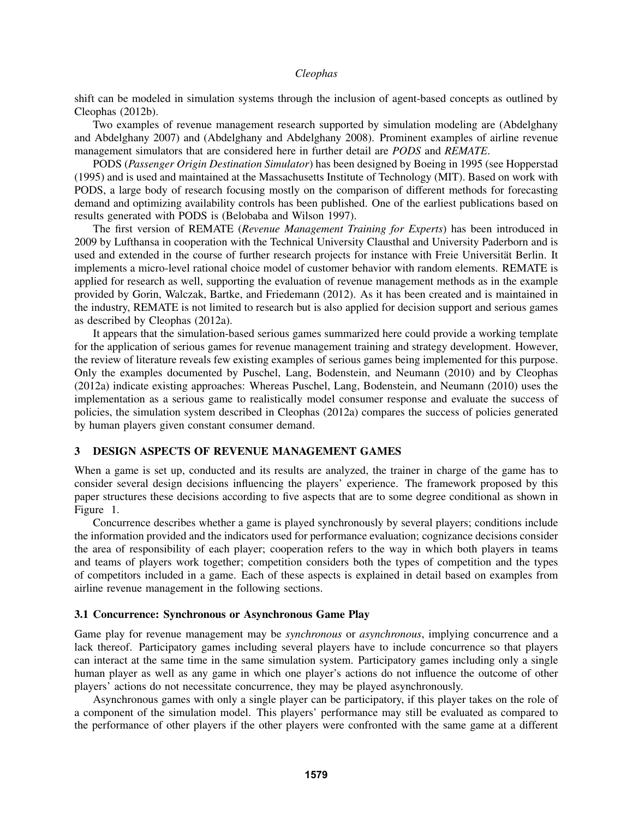shift can be modeled in simulation systems through the inclusion of agent-based concepts as outlined by Cleophas (2012b).

Two examples of revenue management research supported by simulation modeling are (Abdelghany and Abdelghany 2007) and (Abdelghany and Abdelghany 2008). Prominent examples of airline revenue management simulators that are considered here in further detail are *PODS* and *REMATE*.

PODS (*Passenger Origin Destination Simulator*) has been designed by Boeing in 1995 (see Hopperstad (1995) and is used and maintained at the Massachusetts Institute of Technology (MIT). Based on work with PODS, a large body of research focusing mostly on the comparison of different methods for forecasting demand and optimizing availability controls has been published. One of the earliest publications based on results generated with PODS is (Belobaba and Wilson 1997).

The first version of REMATE (*Revenue Management Training for Experts*) has been introduced in 2009 by Lufthansa in cooperation with the Technical University Clausthal and University Paderborn and is used and extended in the course of further research projects for instance with Freie Universität Berlin. It implements a micro-level rational choice model of customer behavior with random elements. REMATE is applied for research as well, supporting the evaluation of revenue management methods as in the example provided by Gorin, Walczak, Bartke, and Friedemann (2012). As it has been created and is maintained in the industry, REMATE is not limited to research but is also applied for decision support and serious games as described by Cleophas (2012a).

It appears that the simulation-based serious games summarized here could provide a working template for the application of serious games for revenue management training and strategy development. However, the review of literature reveals few existing examples of serious games being implemented for this purpose. Only the examples documented by Puschel, Lang, Bodenstein, and Neumann (2010) and by Cleophas (2012a) indicate existing approaches: Whereas Puschel, Lang, Bodenstein, and Neumann (2010) uses the implementation as a serious game to realistically model consumer response and evaluate the success of policies, the simulation system described in Cleophas (2012a) compares the success of policies generated by human players given constant consumer demand.

# 3 DESIGN ASPECTS OF REVENUE MANAGEMENT GAMES

When a game is set up, conducted and its results are analyzed, the trainer in charge of the game has to consider several design decisions influencing the players' experience. The framework proposed by this paper structures these decisions according to five aspects that are to some degree conditional as shown in Figure 1.

Concurrence describes whether a game is played synchronously by several players; conditions include the information provided and the indicators used for performance evaluation; cognizance decisions consider the area of responsibility of each player; cooperation refers to the way in which both players in teams and teams of players work together; competition considers both the types of competition and the types of competitors included in a game. Each of these aspects is explained in detail based on examples from airline revenue management in the following sections.

## 3.1 Concurrence: Synchronous or Asynchronous Game Play

Game play for revenue management may be *synchronous* or *asynchronous*, implying concurrence and a lack thereof. Participatory games including several players have to include concurrence so that players can interact at the same time in the same simulation system. Participatory games including only a single human player as well as any game in which one player's actions do not influence the outcome of other players' actions do not necessitate concurrence, they may be played asynchronously.

Asynchronous games with only a single player can be participatory, if this player takes on the role of a component of the simulation model. This players' performance may still be evaluated as compared to the performance of other players if the other players were confronted with the same game at a different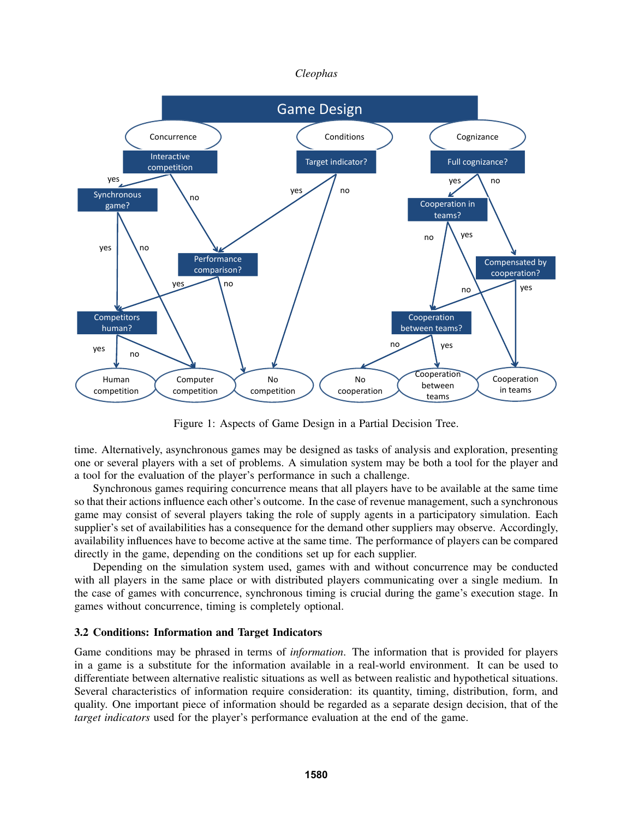

Figure 1: Aspects of Game Design in a Partial Decision Tree.

time. Alternatively, asynchronous games may be designed as tasks of analysis and exploration, presenting one or several players with a set of problems. A simulation system may be both a tool for the player and a tool for the evaluation of the player's performance in such a challenge.

Synchronous games requiring concurrence means that all players have to be available at the same time so that their actions influence each other's outcome. In the case of revenue management, such a synchronous game may consist of several players taking the role of supply agents in a participatory simulation. Each supplier's set of availabilities has a consequence for the demand other suppliers may observe. Accordingly, availability influences have to become active at the same time. The performance of players can be compared directly in the game, depending on the conditions set up for each supplier.

Depending on the simulation system used, games with and without concurrence may be conducted with all players in the same place or with distributed players communicating over a single medium. In the case of games with concurrence, synchronous timing is crucial during the game's execution stage. In games without concurrence, timing is completely optional.

## 3.2 Conditions: Information and Target Indicators

Game conditions may be phrased in terms of *information*. The information that is provided for players in a game is a substitute for the information available in a real-world environment. It can be used to differentiate between alternative realistic situations as well as between realistic and hypothetical situations. Several characteristics of information require consideration: its quantity, timing, distribution, form, and quality. One important piece of information should be regarded as a separate design decision, that of the *target indicators* used for the player's performance evaluation at the end of the game.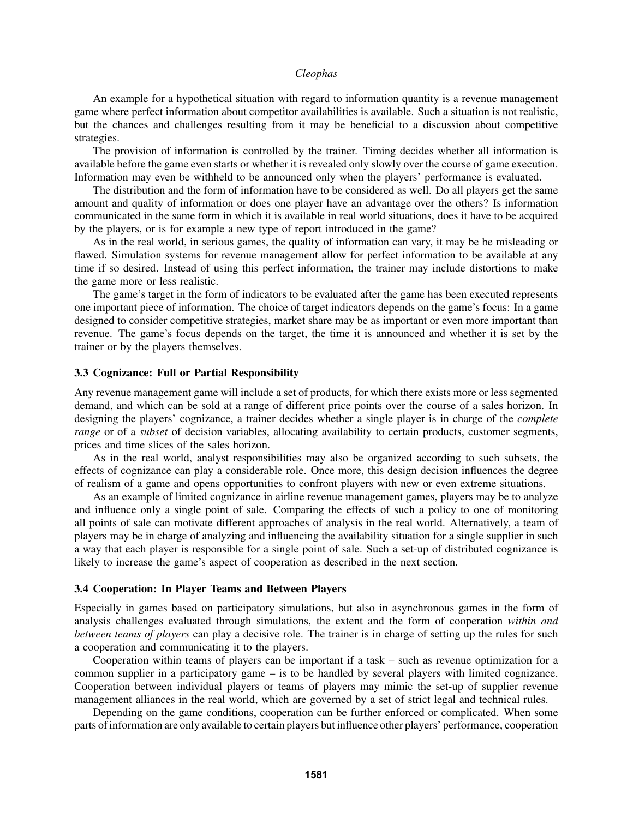An example for a hypothetical situation with regard to information quantity is a revenue management game where perfect information about competitor availabilities is available. Such a situation is not realistic, but the chances and challenges resulting from it may be beneficial to a discussion about competitive strategies.

The provision of information is controlled by the trainer. Timing decides whether all information is available before the game even starts or whether it is revealed only slowly over the course of game execution. Information may even be withheld to be announced only when the players' performance is evaluated.

The distribution and the form of information have to be considered as well. Do all players get the same amount and quality of information or does one player have an advantage over the others? Is information communicated in the same form in which it is available in real world situations, does it have to be acquired by the players, or is for example a new type of report introduced in the game?

As in the real world, in serious games, the quality of information can vary, it may be be misleading or flawed. Simulation systems for revenue management allow for perfect information to be available at any time if so desired. Instead of using this perfect information, the trainer may include distortions to make the game more or less realistic.

The game's target in the form of indicators to be evaluated after the game has been executed represents one important piece of information. The choice of target indicators depends on the game's focus: In a game designed to consider competitive strategies, market share may be as important or even more important than revenue. The game's focus depends on the target, the time it is announced and whether it is set by the trainer or by the players themselves.

#### 3.3 Cognizance: Full or Partial Responsibility

Any revenue management game will include a set of products, for which there exists more or less segmented demand, and which can be sold at a range of different price points over the course of a sales horizon. In designing the players' cognizance, a trainer decides whether a single player is in charge of the *complete range* or of a *subset* of decision variables, allocating availability to certain products, customer segments, prices and time slices of the sales horizon.

As in the real world, analyst responsibilities may also be organized according to such subsets, the effects of cognizance can play a considerable role. Once more, this design decision influences the degree of realism of a game and opens opportunities to confront players with new or even extreme situations.

As an example of limited cognizance in airline revenue management games, players may be to analyze and influence only a single point of sale. Comparing the effects of such a policy to one of monitoring all points of sale can motivate different approaches of analysis in the real world. Alternatively, a team of players may be in charge of analyzing and influencing the availability situation for a single supplier in such a way that each player is responsible for a single point of sale. Such a set-up of distributed cognizance is likely to increase the game's aspect of cooperation as described in the next section.

#### 3.4 Cooperation: In Player Teams and Between Players

Especially in games based on participatory simulations, but also in asynchronous games in the form of analysis challenges evaluated through simulations, the extent and the form of cooperation *within and between teams of players* can play a decisive role. The trainer is in charge of setting up the rules for such a cooperation and communicating it to the players.

Cooperation within teams of players can be important if a task – such as revenue optimization for a common supplier in a participatory game – is to be handled by several players with limited cognizance. Cooperation between individual players or teams of players may mimic the set-up of supplier revenue management alliances in the real world, which are governed by a set of strict legal and technical rules.

Depending on the game conditions, cooperation can be further enforced or complicated. When some parts of information are only available to certain players but influence other players' performance, cooperation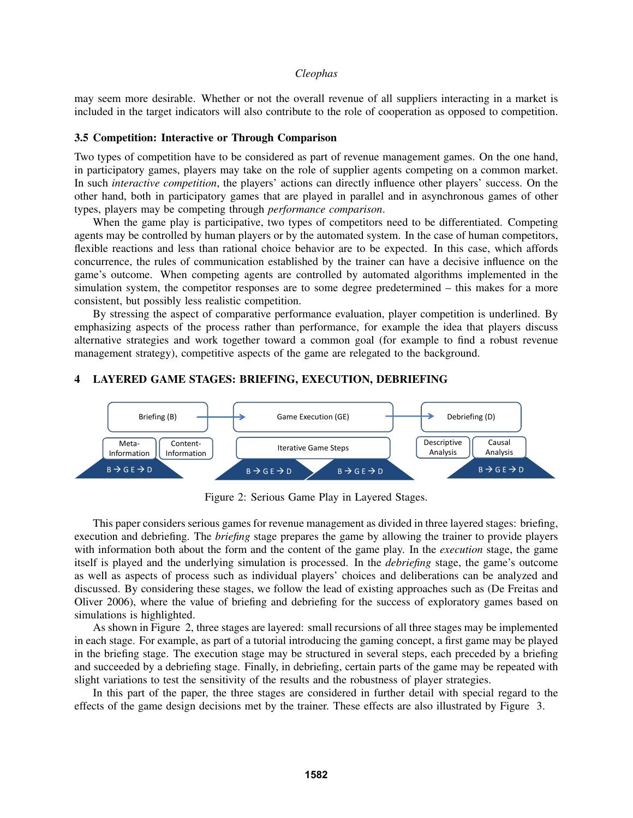may seem more desirable. Whether or not the overall revenue of all suppliers interacting in a market is included in the target indicators will also contribute to the role of cooperation as opposed to competition.

#### 3.5 Competition: Interactive or Through Comparison

Two types of competition have to be considered as part of revenue management games. On the one hand, in participatory games, players may take on the role of supplier agents competing on a common market. In such *interactive competition*, the players' actions can directly influence other players' success. On the other hand, both in participatory games that are played in parallel and in asynchronous games of other types, players may be competing through *performance comparison*.

When the game play is participative, two types of competitors need to be differentiated. Competing agents may be controlled by human players or by the automated system. In the case of human competitors, flexible reactions and less than rational choice behavior are to be expected. In this case, which affords concurrence, the rules of communication established by the trainer can have a decisive influence on the game's outcome. When competing agents are controlled by automated algorithms implemented in the simulation system, the competitor responses are to some degree predetermined – this makes for a more consistent, but possibly less realistic competition.

By stressing the aspect of comparative performance evaluation, player competition is underlined. By emphasizing aspects of the process rather than performance, for example the idea that players discuss alternative strategies and work together toward a common goal (for example to find a robust revenue management strategy), competitive aspects of the game are relegated to the background.

#### 4 LAYERED GAME STAGES: BRIEFING, EXECUTION, DEBRIEFING



Figure 2: Serious Game Play in Layered Stages.

This paper considers serious games for revenue management as divided in three layered stages: briefing, execution and debriefing. The *briefing* stage prepares the game by allowing the trainer to provide players with information both about the form and the content of the game play. In the *execution* stage, the game itself is played and the underlying simulation is processed. In the *debriefing* stage, the game's outcome as well as aspects of process such as individual players' choices and deliberations can be analyzed and discussed. By considering these stages, we follow the lead of existing approaches such as (De Freitas and Oliver 2006), where the value of briefing and debriefing for the success of exploratory games based on simulations is highlighted.

As shown in Figure 2, three stages are layered: small recursions of all three stages may be implemented in each stage. For example, as part of a tutorial introducing the gaming concept, a first game may be played in the briefing stage. The execution stage may be structured in several steps, each preceded by a briefing and succeeded by a debriefing stage. Finally, in debriefing, certain parts of the game may be repeated with slight variations to test the sensitivity of the results and the robustness of player strategies.

In this part of the paper, the three stages are considered in further detail with special regard to the effects of the game design decisions met by the trainer. These effects are also illustrated by Figure 3.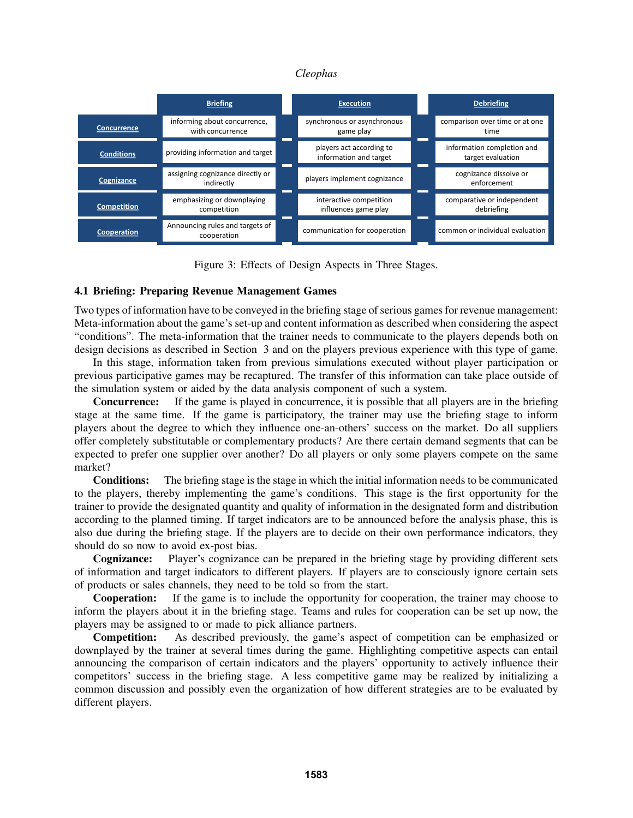

Figure 3: Effects of Design Aspects in Three Stages.

# 4.1 Briefing: Preparing Revenue Management Games

Two types of information have to be conveyed in the briefing stage of serious games for revenue management: Meta-information about the game's set-up and content information as described when considering the aspect "conditions". The meta-information that the trainer needs to communicate to the players depends both on design decisions as described in Section 3 and on the players previous experience with this type of game.

In this stage, information taken from previous simulations executed without player participation or previous participative games may be recaptured. The transfer of this information can take place outside of the simulation system or aided by the data analysis component of such a system.

Concurrence: If the game is played in concurrence, it is possible that all players are in the briefing stage at the same time. If the game is participatory, the trainer may use the briefing stage to inform players about the degree to which they influence one-an-others' success on the market. Do all suppliers offer completely substitutable or complementary products? Are there certain demand segments that can be expected to prefer one supplier over another? Do all players or only some players compete on the same market?

Conditions: The briefing stage is the stage in which the initial information needs to be communicated to the players, thereby implementing the game's conditions. This stage is the first opportunity for the trainer to provide the designated quantity and quality of information in the designated form and distribution according to the planned timing. If target indicators are to be announced before the analysis phase, this is also due during the briefing stage. If the players are to decide on their own performance indicators, they should do so now to avoid ex-post bias.

Cognizance: Player's cognizance can be prepared in the briefing stage by providing different sets of information and target indicators to different players. If players are to consciously ignore certain sets of products or sales channels, they need to be told so from the start.

Cooperation: If the game is to include the opportunity for cooperation, the trainer may choose to inform the players about it in the briefing stage. Teams and rules for cooperation can be set up now, the players may be assigned to or made to pick alliance partners.

Competition: As described previously, the game's aspect of competition can be emphasized or downplayed by the trainer at several times during the game. Highlighting competitive aspects can entail announcing the comparison of certain indicators and the players' opportunity to actively influence their competitors' success in the briefing stage. A less competitive game may be realized by initializing a common discussion and possibly even the organization of how different strategies are to be evaluated by different players.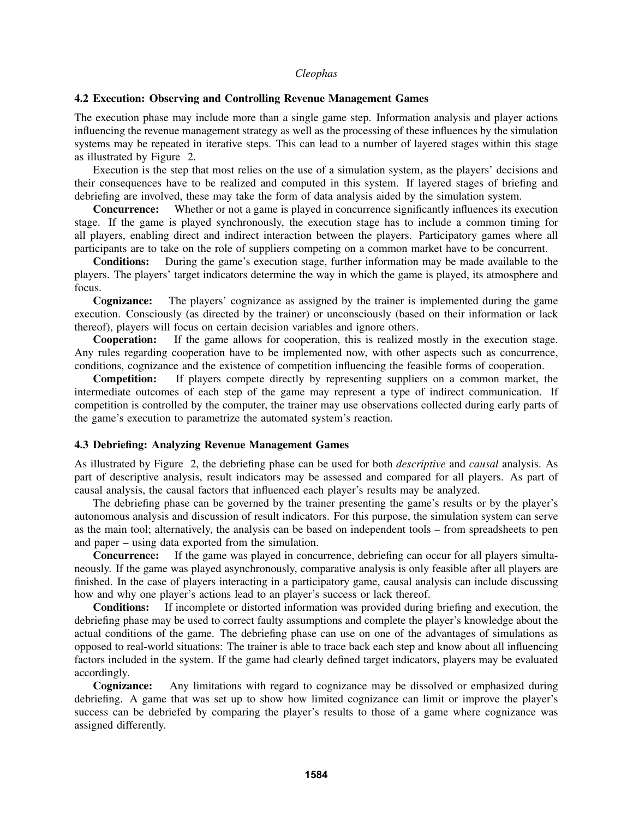#### 4.2 Execution: Observing and Controlling Revenue Management Games

The execution phase may include more than a single game step. Information analysis and player actions influencing the revenue management strategy as well as the processing of these influences by the simulation systems may be repeated in iterative steps. This can lead to a number of layered stages within this stage as illustrated by Figure 2.

Execution is the step that most relies on the use of a simulation system, as the players' decisions and their consequences have to be realized and computed in this system. If layered stages of briefing and debriefing are involved, these may take the form of data analysis aided by the simulation system.

Concurrence: Whether or not a game is played in concurrence significantly influences its execution stage. If the game is played synchronously, the execution stage has to include a common timing for all players, enabling direct and indirect interaction between the players. Participatory games where all participants are to take on the role of suppliers competing on a common market have to be concurrent.

Conditions: During the game's execution stage, further information may be made available to the players. The players' target indicators determine the way in which the game is played, its atmosphere and focus.

Cognizance: The players' cognizance as assigned by the trainer is implemented during the game execution. Consciously (as directed by the trainer) or unconsciously (based on their information or lack thereof), players will focus on certain decision variables and ignore others.

Cooperation: If the game allows for cooperation, this is realized mostly in the execution stage. Any rules regarding cooperation have to be implemented now, with other aspects such as concurrence, conditions, cognizance and the existence of competition influencing the feasible forms of cooperation.

Competition: If players compete directly by representing suppliers on a common market, the intermediate outcomes of each step of the game may represent a type of indirect communication. If competition is controlled by the computer, the trainer may use observations collected during early parts of the game's execution to parametrize the automated system's reaction.

#### 4.3 Debriefing: Analyzing Revenue Management Games

As illustrated by Figure 2, the debriefing phase can be used for both *descriptive* and *causal* analysis. As part of descriptive analysis, result indicators may be assessed and compared for all players. As part of causal analysis, the causal factors that influenced each player's results may be analyzed.

The debriefing phase can be governed by the trainer presenting the game's results or by the player's autonomous analysis and discussion of result indicators. For this purpose, the simulation system can serve as the main tool; alternatively, the analysis can be based on independent tools – from spreadsheets to pen and paper – using data exported from the simulation.

Concurrence: If the game was played in concurrence, debriefing can occur for all players simultaneously. If the game was played asynchronously, comparative analysis is only feasible after all players are finished. In the case of players interacting in a participatory game, causal analysis can include discussing how and why one player's actions lead to an player's success or lack thereof.

Conditions: If incomplete or distorted information was provided during briefing and execution, the debriefing phase may be used to correct faulty assumptions and complete the player's knowledge about the actual conditions of the game. The debriefing phase can use on one of the advantages of simulations as opposed to real-world situations: The trainer is able to trace back each step and know about all influencing factors included in the system. If the game had clearly defined target indicators, players may be evaluated accordingly.

Cognizance: Any limitations with regard to cognizance may be dissolved or emphasized during debriefing. A game that was set up to show how limited cognizance can limit or improve the player's success can be debriefed by comparing the player's results to those of a game where cognizance was assigned differently.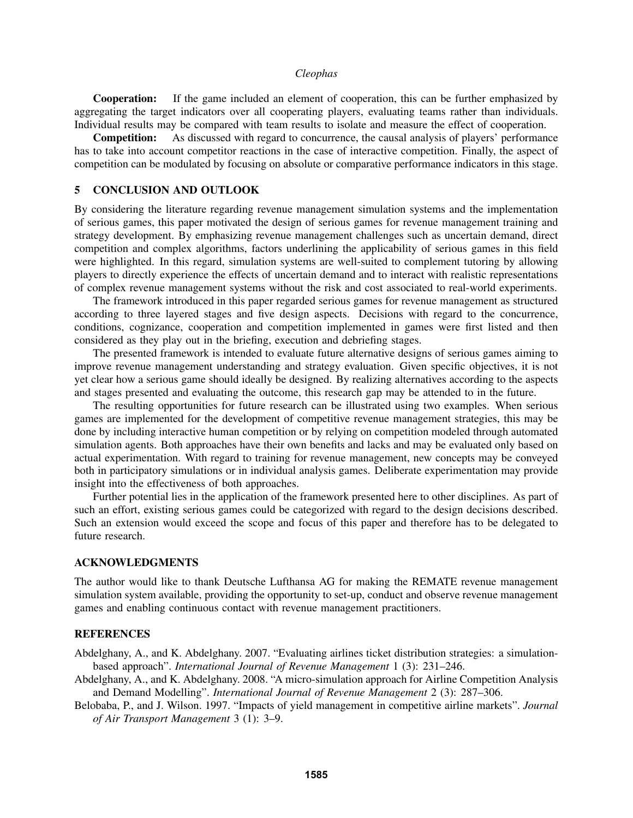Cooperation: If the game included an element of cooperation, this can be further emphasized by aggregating the target indicators over all cooperating players, evaluating teams rather than individuals. Individual results may be compared with team results to isolate and measure the effect of cooperation.

Competition: As discussed with regard to concurrence, the causal analysis of players' performance has to take into account competitor reactions in the case of interactive competition. Finally, the aspect of competition can be modulated by focusing on absolute or comparative performance indicators in this stage.

# 5 CONCLUSION AND OUTLOOK

By considering the literature regarding revenue management simulation systems and the implementation of serious games, this paper motivated the design of serious games for revenue management training and strategy development. By emphasizing revenue management challenges such as uncertain demand, direct competition and complex algorithms, factors underlining the applicability of serious games in this field were highlighted. In this regard, simulation systems are well-suited to complement tutoring by allowing players to directly experience the effects of uncertain demand and to interact with realistic representations of complex revenue management systems without the risk and cost associated to real-world experiments.

The framework introduced in this paper regarded serious games for revenue management as structured according to three layered stages and five design aspects. Decisions with regard to the concurrence, conditions, cognizance, cooperation and competition implemented in games were first listed and then considered as they play out in the briefing, execution and debriefing stages.

The presented framework is intended to evaluate future alternative designs of serious games aiming to improve revenue management understanding and strategy evaluation. Given specific objectives, it is not yet clear how a serious game should ideally be designed. By realizing alternatives according to the aspects and stages presented and evaluating the outcome, this research gap may be attended to in the future.

The resulting opportunities for future research can be illustrated using two examples. When serious games are implemented for the development of competitive revenue management strategies, this may be done by including interactive human competition or by relying on competition modeled through automated simulation agents. Both approaches have their own benefits and lacks and may be evaluated only based on actual experimentation. With regard to training for revenue management, new concepts may be conveyed both in participatory simulations or in individual analysis games. Deliberate experimentation may provide insight into the effectiveness of both approaches.

Further potential lies in the application of the framework presented here to other disciplines. As part of such an effort, existing serious games could be categorized with regard to the design decisions described. Such an extension would exceed the scope and focus of this paper and therefore has to be delegated to future research.

# ACKNOWLEDGMENTS

The author would like to thank Deutsche Lufthansa AG for making the REMATE revenue management simulation system available, providing the opportunity to set-up, conduct and observe revenue management games and enabling continuous contact with revenue management practitioners.

### **REFERENCES**

Abdelghany, A., and K. Abdelghany. 2007. "Evaluating airlines ticket distribution strategies: a simulationbased approach". *International Journal of Revenue Management* 1 (3): 231–246.

- Abdelghany, A., and K. Abdelghany. 2008. "A micro-simulation approach for Airline Competition Analysis and Demand Modelling". *International Journal of Revenue Management* 2 (3): 287–306.
- Belobaba, P., and J. Wilson. 1997. "Impacts of yield management in competitive airline markets". *Journal of Air Transport Management* 3 (1): 3–9.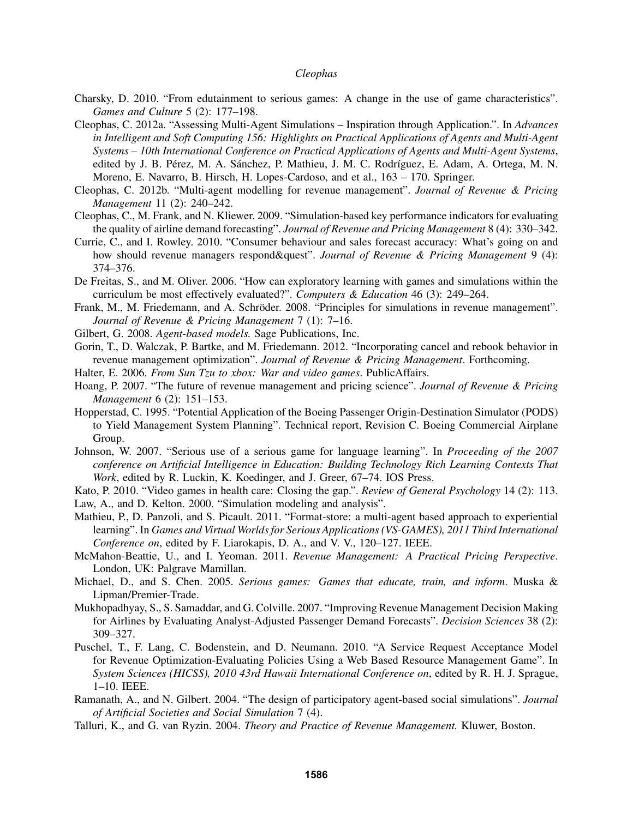- Charsky, D. 2010. "From edutainment to serious games: A change in the use of game characteristics". *Games and Culture* 5 (2): 177–198.
- Cleophas, C. 2012a. "Assessing Multi-Agent Simulations Inspiration through Application.". In *Advances in Intelligent and Soft Computing 156: Highlights on Practical Applications of Agents and Multi-Agent Systems – 10th International Conference on Practical Applications of Agents and Multi-Agent Systems*, edited by J. B. Pérez, M. A. Sánchez, P. Mathieu, J. M. C. Rodríguez, E. Adam, A. Ortega, M. N. Moreno, E. Navarro, B. Hirsch, H. Lopes-Cardoso, and et al., 163 – 170. Springer.
- Cleophas, C. 2012b. "Multi-agent modelling for revenue management". *Journal of Revenue & Pricing Management* 11 (2): 240–242.
- Cleophas, C., M. Frank, and N. Kliewer. 2009. "Simulation-based key performance indicators for evaluating the quality of airline demand forecasting". *Journal of Revenue and Pricing Management* 8 (4): 330–342.
- Currie, C., and I. Rowley. 2010. "Consumer behaviour and sales forecast accuracy: What's going on and how should revenue managers respond&quest". *Journal of Revenue & Pricing Management* 9 (4): 374–376.
- De Freitas, S., and M. Oliver. 2006. "How can exploratory learning with games and simulations within the curriculum be most effectively evaluated?". *Computers & Education* 46 (3): 249–264.
- Frank, M., M. Friedemann, and A. Schröder. 2008. "Principles for simulations in revenue management". *Journal of Revenue & Pricing Management* 7 (1): 7–16.
- Gilbert, G. 2008. *Agent-based models.* Sage Publications, Inc.
- Gorin, T., D. Walczak, P. Bartke, and M. Friedemann. 2012. "Incorporating cancel and rebook behavior in revenue management optimization". *Journal of Revenue & Pricing Management*. Forthcoming.
- Halter, E. 2006. *From Sun Tzu to xbox: War and video games*. PublicAffairs.
- Hoang, P. 2007. "The future of revenue management and pricing science". *Journal of Revenue & Pricing Management* 6 (2): 151–153.
- Hopperstad, C. 1995. "Potential Application of the Boeing Passenger Origin-Destination Simulator (PODS) to Yield Management System Planning". Technical report, Revision C. Boeing Commercial Airplane Group.
- Johnson, W. 2007. "Serious use of a serious game for language learning". In *Proceeding of the 2007 conference on Artificial Intelligence in Education: Building Technology Rich Learning Contexts That Work*, edited by R. Luckin, K. Koedinger, and J. Greer, 67–74. IOS Press.

Kato, P. 2010. "Video games in health care: Closing the gap.". *Review of General Psychology* 14 (2): 113.

- Law, A., and D. Kelton. 2000. "Simulation modeling and analysis".
- Mathieu, P., D. Panzoli, and S. Picault. 2011. "Format-store: a multi-agent based approach to experiential learning". In *Games and Virtual Worlds for Serious Applications (VS-GAMES), 2011 Third International Conference on*, edited by F. Liarokapis, D. A., and V. V., 120–127. IEEE.
- McMahon-Beattie, U., and I. Yeoman. 2011. *Revenue Management: A Practical Pricing Perspective*. London, UK: Palgrave Mamillan.
- Michael, D., and S. Chen. 2005. *Serious games: Games that educate, train, and inform*. Muska & Lipman/Premier-Trade.
- Mukhopadhyay, S., S. Samaddar, and G. Colville. 2007. "Improving Revenue Management Decision Making for Airlines by Evaluating Analyst-Adjusted Passenger Demand Forecasts". *Decision Sciences* 38 (2): 309–327.
- Puschel, T., F. Lang, C. Bodenstein, and D. Neumann. 2010. "A Service Request Acceptance Model for Revenue Optimization-Evaluating Policies Using a Web Based Resource Management Game". In *System Sciences (HICSS), 2010 43rd Hawaii International Conference on*, edited by R. H. J. Sprague, 1–10. IEEE.
- Ramanath, A., and N. Gilbert. 2004. "The design of participatory agent-based social simulations". *Journal of Artificial Societies and Social Simulation* 7 (4).
- Talluri, K., and G. van Ryzin. 2004. *Theory and Practice of Revenue Management.* Kluwer, Boston.